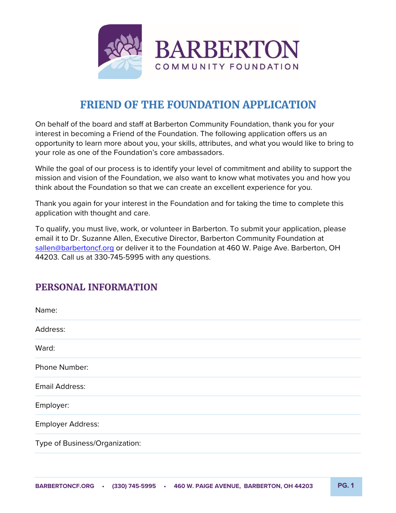

# **FRIEND OF THE FOUNDATION APPLICATION**

On behalf of the board and staff at Barberton Community Foundation, thank you for your interest in becoming a Friend of the Foundation. The following application offers us an opportunity to learn more about you, your skills, attributes, and what you would like to bring to your role as one of the Foundation's core ambassadors.

While the goal of our process is to identify your level of commitment and ability to support the mission and vision of the Foundation, we also want to know what motivates you and how you think about the Foundation so that we can create an excellent experience for you.

Thank you again for your interest in the Foundation and for taking the time to complete this application with thought and care.

To qualify, you must live, work, or volunteer in Barberton. To submit your application, please email it to Dr. Suzanne Allen, Executive Director, Barberton Community Foundation at sallen@barbertoncf.org or deliver it to the Foundation at 460 W. Paige Ave. Barberton, OH 44203. Call us at 330-745-5995 with any questions.

# **PERSONAL INFORMATION**

| Name:                          |
|--------------------------------|
| Address:                       |
| Ward:                          |
| Phone Number:                  |
| Email Address:                 |
| Employer:                      |
| Employer Address:              |
| Type of Business/Organization: |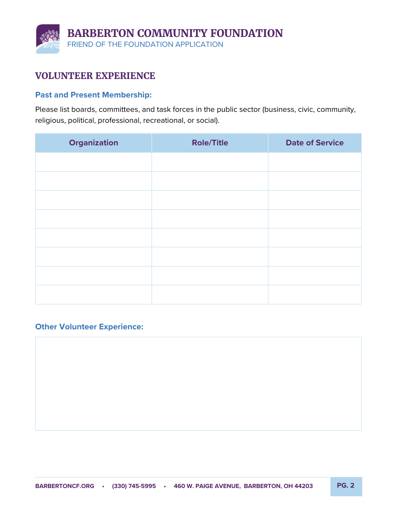

## **VOLUNTEER EXPERIENCE**

#### **Past and Present Membership:**

Please list boards, committees, and task forces in the public sector (business, civic, community, religious, political, professional, recreational, or social).

| <b>Organization</b> | <b>Role/Title</b> | <b>Date of Service</b> |
|---------------------|-------------------|------------------------|
|                     |                   |                        |
|                     |                   |                        |
|                     |                   |                        |
|                     |                   |                        |
|                     |                   |                        |
|                     |                   |                        |
|                     |                   |                        |
|                     |                   |                        |

#### **Other Volunteer Experience:**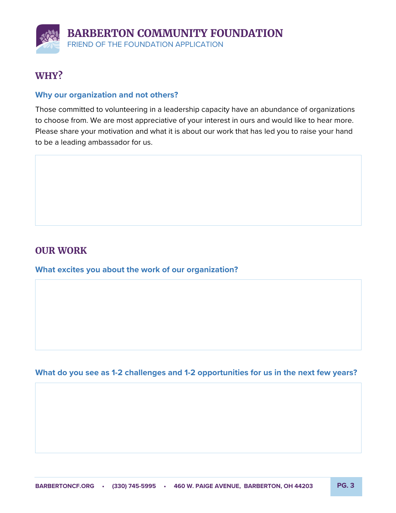# **WHY?**

#### **Why our organization and not others?**

Those committed to volunteering in a leadership capacity have an abundance of organizations to choose from. We are most appreciative of your interest in ours and would like to hear more. Please share your motivation and what it is about our work that has led you to raise your hand to be a leading ambassador for us.

## **OUR WORK**

**What excites you about the work of our organization?**

**What do you see as 1-2 challenges and 1-2 opportunities for us in the next few years?**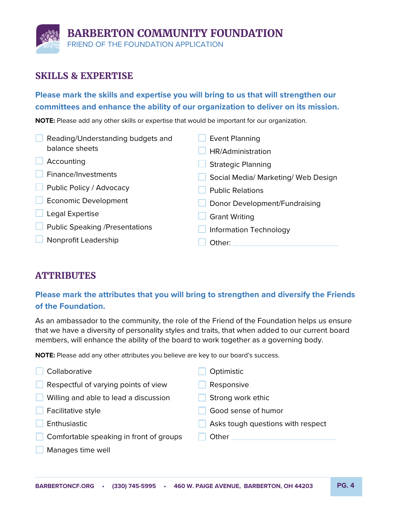

## **SKILLS & EXPERTISE**

### **Please mark the skills and expertise you will bring to us that will strengthen our committees and enhance the ability of our organization to deliver on its mission.**

**NOTE:** Please add any other skills or expertise that would be important for our organization.

| Reading/Understanding budgets and     | <b>Event Planning</b>               |  |  |
|---------------------------------------|-------------------------------------|--|--|
| balance sheets                        | HR/Administration                   |  |  |
| Accounting                            | <b>Strategic Planning</b>           |  |  |
| Finance/Investments                   | Social Media/ Marketing/ Web Design |  |  |
| Public Policy / Advocacy              | <b>Public Relations</b>             |  |  |
| <b>Economic Development</b>           | Donor Development/Fundraising       |  |  |
| Legal Expertise                       | <b>Grant Writing</b>                |  |  |
| <b>Public Speaking /Presentations</b> | <b>Information Technology</b>       |  |  |
| Nonprofit Leadership                  | Other:                              |  |  |

# **ATTRIBUTES**

## **Please mark the attributes that you will bring to strengthen and diversify the Friends of the Foundation.**

As an ambassador to the community, the role of the Friend of the Foundation helps us ensure that we have a diversity of personality styles and traits, that when added to our current board members, will enhance the ability of the board to work together as a governing body.

**NOTE:** Please add any other attributes you believe are key to our board's success.

| Collaborative                           | Optimistic                        |
|-----------------------------------------|-----------------------------------|
| Respectful of varying points of view    | Responsive                        |
| Willing and able to lead a discussion   | Strong work ethic                 |
| Facilitative style                      | Good sense of humor               |
| Enthusiastic                            | Asks tough questions with respect |
| Comfortable speaking in front of groups | Other                             |
| Manages time well                       |                                   |
|                                         |                                   |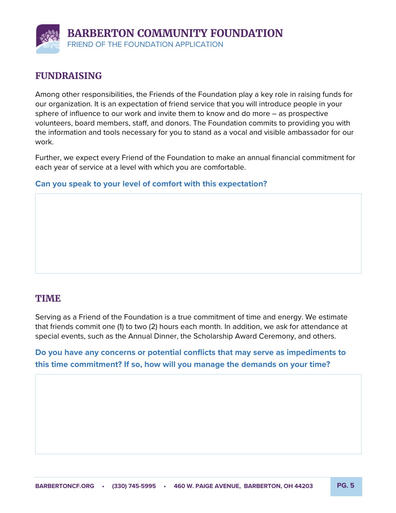

# **FUNDRAISING**

Among other responsibilities, the Friends of the Foundation play a key role in raising funds for our organization. It is an expectation of friend service that you will introduce people in your sphere of influence to our work and invite them to know and do more – as prospective volunteers, board members, staff, and donors. The Foundation commits to providing you with the information and tools necessary for you to stand as a vocal and visible ambassador for our work.

Further, we expect every Friend of the Foundation to make an annual financial commitment for each year of service at a level with which you are comfortable.

#### **Can you speak to your level of comfort with this expectation?**

### **TIME**

Serving as a Friend of the Foundation is a true commitment of time and energy. We estimate that friends commit one (1) to two (2) hours each month. In addition, we ask for attendance at special events, such as the Annual Dinner, the Scholarship Award Ceremony, and others.

**Do you have any concerns or potential conflicts that may serve as impediments to this time commitment? If so, how will you manage the demands on your time?**